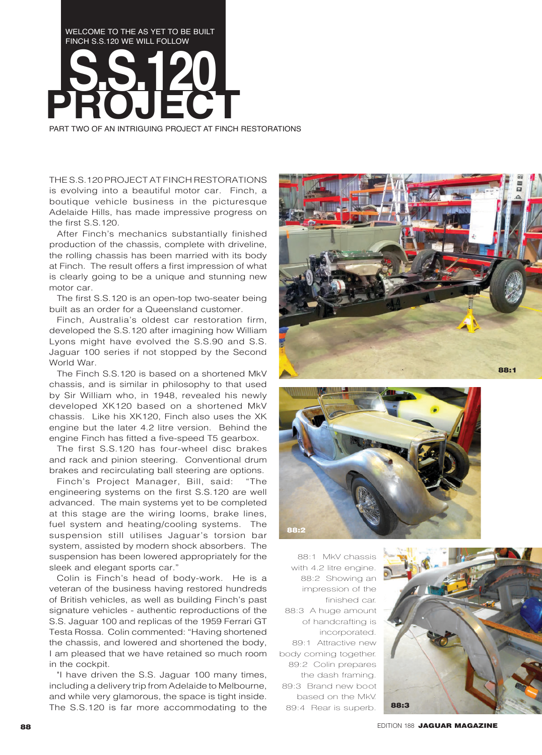## WELCOME TO THE AS YET TO BE BUILT FINCH S.S.120 WE WILL FOLLOW **PROJECT S.S.120**

PART TWO OF AN INTRIGUING PROJECT AT FINCH RESTORATIONS

THE S.S.120 PROJECT AT FINCH RESTORATIONS is evolving into a beautiful motor car. Finch, a boutique vehicle business in the picturesque Adelaide Hills, has made impressive progress on the first S.S.120.

After Finch's mechanics substantially finished production of the chassis, complete with driveline, the rolling chassis has been married with its body at Finch. The result offers a first impression of what is clearly going to be a unique and stunning new motor car.

The first S.S.120 is an open-top two-seater being built as an order for a Queensland customer.

Finch, Australia's oldest car restoration firm, developed the S.S.120 after imagining how William Lyons might have evolved the S.S.90 and S.S. Jaguar 100 series if not stopped by the Second World War.

The Finch S.S.120 is based on a shortened MkV chassis, and is similar in philosophy to that used by Sir William who, in 1948, revealed his newly developed XK120 based on a shortened MkV chassis. Like his XK120, Finch also uses the XK engine but the later 4.2 litre version. Behind the engine Finch has fitted a five-speed T5 gearbox.

The first S.S.120 has four-wheel disc brakes and rack and pinion steering. Conventional drum brakes and recirculating ball steering are options.

Finch's Project Manager, Bill, said: "The engineering systems on the first S.S.120 are well advanced. The main systems yet to be completed at this stage are the wiring looms, brake lines, fuel system and heating/cooling systems. The suspension still utilises Jaguar's torsion bar system, assisted by modern shock absorbers. The suspension has been lowered appropriately for the sleek and elegant sports car."

Colin is Finch's head of body-work. He is a veteran of the business having restored hundreds of British vehicles, as well as building Finch's past signature vehicles - authentic reproductions of the S.S. Jaguar 100 and replicas of the 1959 Ferrari GT Testa Rossa. Colin commented: "Having shortened the chassis, and lowered and shortened the body, I am pleased that we have retained so much room in the cockpit.

"I have driven the S.S. Jaguar 100 many times, including a delivery trip from Adelaide to Melbourne, and while very glamorous, the space is tight inside. The S.S.120 is far more accommodating to the





88:1 MkV chassis with 4.2 litre engine. 88:2 Showing an impression of the finished car. 88:3 A huge amount of handcrafting is incorporated. 89:1 Attractive new body coming together. 89:2 Colin prepares the dash framing. 89:3 Brand new boot based on the MkV. 89:4 Rear is superb.



**88 BELLION 188 JAGUAR MAGAZINE**